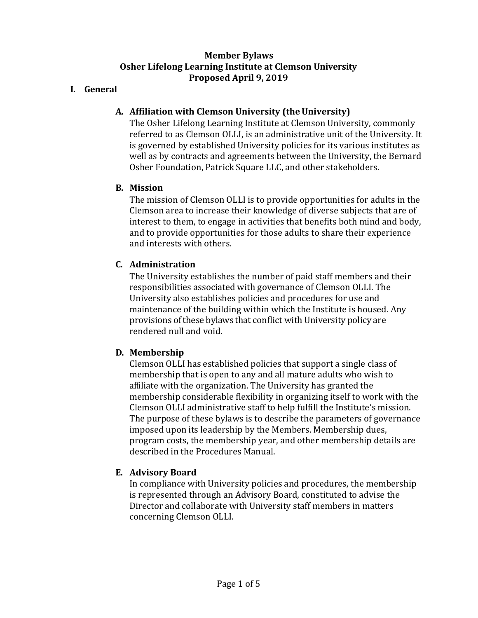#### **Member Bylaws Osher Lifelong Learning Institute at Clemson University Proposed April 9, 2019**

#### **I. General**

### **A. Affiliation with Clemson University (theUniversity)**

The Osher Lifelong Learning Institute at Clemson University, commonly referred to as Clemson OLLI, is an administrative unit of the University. It is governed by established University policies for its various institutes as well as by contracts and agreements between the University, the Bernard Osher Foundation, Patrick Square LLC, and other stakeholders.

#### **B. Mission**

The mission of Clemson OLLI is to provide opportunities for adults in the Clemson area to increase their knowledge of diverse subjects that are of interest to them, to engage in activities that benefits both mind and body, and to provide opportunities for those adults to share their experience and interests with others.

### **C. Administration**

The University establishes the number of paid staff members and their responsibilities associated with governance of Clemson OLLI. The University also establishes policies and procedures for use and maintenance of the building within which the Institute is housed. Any provisions of these bylaws that conflict with University policy are rendered null and void.

### **D. Membership**

Clemson OLLI has established policies that support a single class of membership that is open to any and all mature adults who wish to affiliate with the organization. The University has granted the membership considerable flexibility in organizing itself to work with the Clemson OLLI administrative staff to help fulfill the Institute's mission. The purpose of these bylaws is to describe the parameters of governance imposed upon its leadership by the Members. Membership dues, program costs, the membership year, and other membership details are described in the Procedures Manual.

### **E. Advisory Board**

In compliance with University policies and procedures, the membership is represented through an Advisory Board, constituted to advise the Director and collaborate with University staff members in matters concerning Clemson OLLI.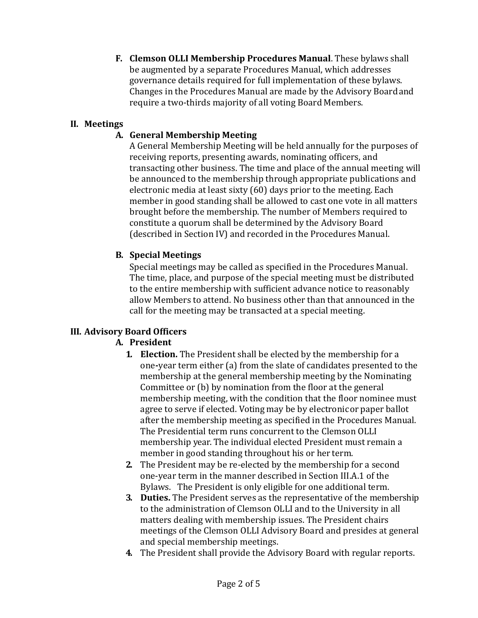**F. Clemson OLLI Membership Procedures Manual**. These bylaws shall be augmented by a separate Procedures Manual, which addresses governance details required for full implementation of these bylaws. Changes in the Procedures Manual are made by the Advisory Boardand require a two-thirds majority of all voting Board Members.

## **II. Meetings**

# **A. General Membership Meeting**

A General Membership Meeting will be held annually for the purposes of receiving reports, presenting awards, nominating officers, and transacting other business. The time and place of the annual meeting will be announced to the membership through appropriate publications and electronic media at least sixty (60) days prior to the meeting. Each member in good standing shall be allowed to cast one vote in all matters brought before the membership. The number of Members required to constitute a quorum shall be determined by the Advisory Board (described in Section IV) and recorded in the Procedures Manual.

## **B. Special Meetings**

Special meetings may be called as specified in the Procedures Manual. The time, place, and purpose of the special meeting must be distributed to the entire membership with sufficient advance notice to reasonably allow Members to attend. No business other than that announced in the call for the meeting may be transacted at a special meeting.

### **III. Advisory Board Officers**

# **A. President**

- **1. Election.** The President shall be elected by the membership for a one**-**year term either (a) from the slate of candidates presented to the membership at the general membership meeting by the Nominating Committee or (b) by nomination from the floor at the general membership meeting, with the condition that the floor nominee must agree to serve if elected. Voting may be by electronicor paper ballot after the membership meeting as specified in the Procedures Manual. The Presidential term runs concurrent to the Clemson OLLI membership year. The individual elected President must remain a member in good standing throughout his or her term.
- **2.** The President may be re-elected by the membership for a second one-year term in the manner described in Section III.A.1 of the Bylaws. The President is only eligible for one additional term.
- **3. Duties.** The President serves as the representative of the membership to the administration of Clemson OLLI and to the University in all matters dealing with membership issues. The President chairs meetings of the Clemson OLLI Advisory Board and presides at general and special membership meetings.
- **4.** The President shall provide the Advisory Board with regular reports.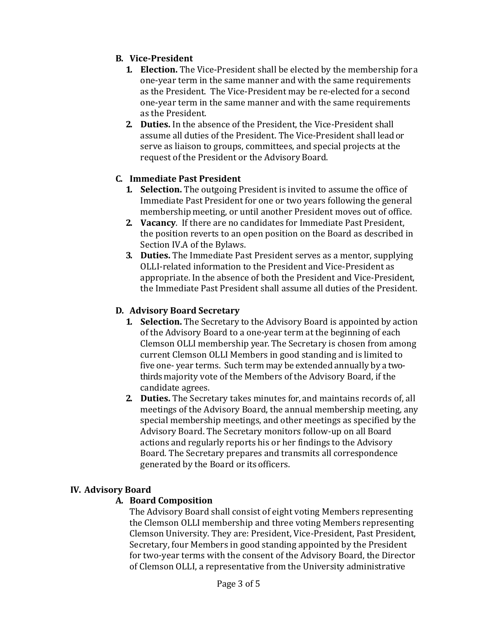# **B. Vice-President**

- **1. Election.** The Vice-President shall be elected by the membership fora one-year term in the same manner and with the same requirements as the President. The Vice-President may be re-elected for a second one-year term in the same manner and with the same requirements as the President.
- **2. Duties.** In the absence of the President, the Vice-President shall assume all duties of the President. The Vice-President shall lead or serve as liaison to groups, committees, and special projects at the request of the President or the Advisory Board.

### **C. Immediate Past President**

- **1. Selection.** The outgoing President is invited to assume the office of Immediate Past President for one or two years following the general membership meeting, or until another President moves out of office.
- **2. Vacancy**. If there are no candidates for Immediate Past President, the position reverts to an open position on the Board as described in Section IV.A of the Bylaws.
- **3. Duties.** The Immediate Past President serves as a mentor, supplying OLLI-related information to the President and Vice-President as appropriate. In the absence of both the President and Vice-President, the Immediate Past President shall assume all duties of the President.

### **D. Advisory Board Secretary**

- **1. Selection.** The Secretary to the Advisory Board is appointed by action of the Advisory Board to a one-year term at the beginning of each Clemson OLLI membership year. The Secretary is chosen from among current Clemson OLLI Members in good standing and is limited to five one- year terms. Such term may be extended annually by a twothirds majority vote of the Members of the Advisory Board, if the candidate agrees.
- **2. Duties.** The Secretary takes minutes for, and maintains records of, all meetings of the Advisory Board, the annual membership meeting, any special membership meetings, and other meetings as specified by the Advisory Board. The Secretary monitors follow-up on all Board actions and regularly reports his or her findings to the Advisory Board. The Secretary prepares and transmits all correspondence generated by the Board or its officers.

### **IV. Advisory Board**

### **A. Board Composition**

The Advisory Board shall consist of eight voting Members representing the Clemson OLLI membership and three voting Members representing Clemson University. They are: President, Vice-President, Past President, Secretary, four Members in good standing appointed by the President for two-year terms with the consent of the Advisory Board, the Director of Clemson OLLI, a representative from the University administrative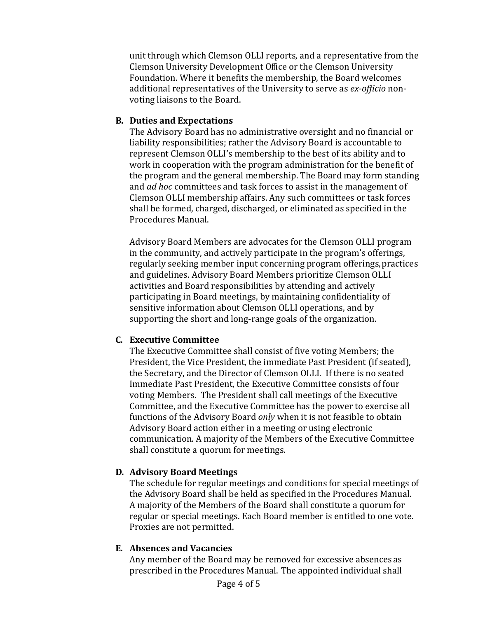unit through which Clemson OLLI reports, and a representative from the Clemson University Development Office or the Clemson University Foundation. Where it benefits the membership, the Board welcomes additional representatives of the University to serve as *ex-officio* nonvoting liaisons to the Board.

### **B. Duties and Expectations**

The Advisory Board has no administrative oversight and no financial or liability responsibilities; rather the Advisory Board is accountable to represent Clemson OLLI's membership to the best of its ability and to work in cooperation with the program administration for the benefit of the program and the general membership. The Board may form standing and *ad hoc* committees and task forces to assist in the management of Clemson OLLI membership affairs. Any such committees or task forces shall be formed, charged, discharged, or eliminated as specified in the Procedures Manual.

Advisory Board Members are advocates for the Clemson OLLI program in the community, and actively participate in the program's offerings, regularly seeking member input concerning program offerings,practices and guidelines. Advisory Board Members prioritize Clemson OLLI activities and Board responsibilities by attending and actively participating in Board meetings, by maintaining confidentiality of sensitive information about Clemson OLLI operations, and by supporting the short and long-range goals of the organization.

### **C. Executive Committee**

The Executive Committee shall consist of five voting Members; the President, the Vice President, the immediate Past President (if seated), the Secretary, and the Director of Clemson OLLI. If there is no seated Immediate Past President, the Executive Committee consists of four voting Members. The President shall call meetings of the Executive Committee, and the Executive Committee has the power to exercise all functions of the Advisory Board *only* when it is not feasible to obtain Advisory Board action either in a meeting or using electronic communication. A majority of the Members of the Executive Committee shall constitute a quorum for meetings.

### **D. Advisory Board Meetings**

The schedule for regular meetings and conditions for special meetings of the Advisory Board shall be held as specified in the Procedures Manual. A majority of the Members of the Board shall constitute a quorum for regular or special meetings. Each Board member is entitled to one vote. Proxies are not permitted.

### **E. Absences and Vacancies**

Any member of the Board may be removed for excessive absences as prescribed in the Procedures Manual. The appointed individual shall